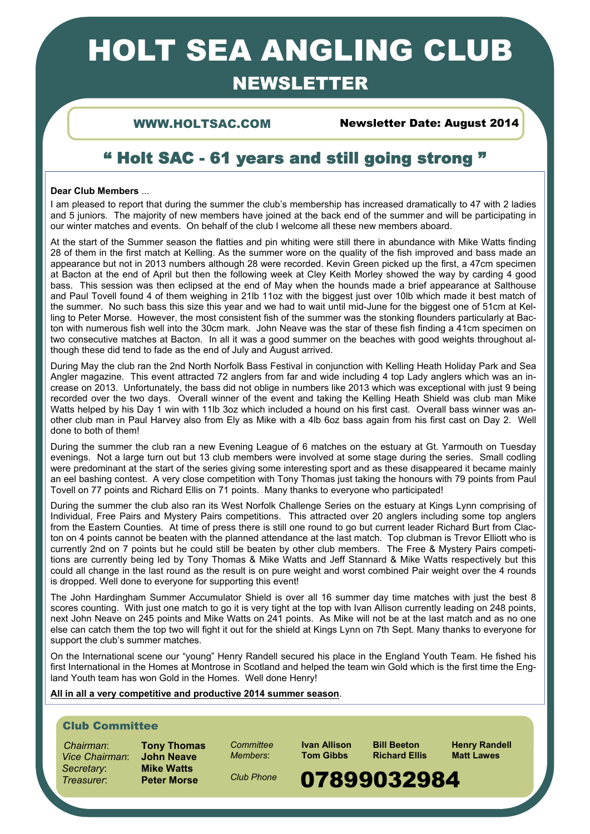# HOLT SEA ANGLING CLUB

# NEWSLETTER

WWW.HOLTSAC.COM Newsletter Date: August 2014

## " Holt SAC - 61 years and still going strong "

### **Dear Club Members** ...

I am pleased to report that during the summer the club's membership has increased dramatically to 47 with 2 ladies and 5 juniors. The majority of new members have joined at the back end of the summer and will be participating in our winter matches and events. On behalf of the club I welcome all these new members aboard.

At the start of the Summer season the flatties and pin whiting were still there in abundance with Mike Watts finding 28 of them in the first match at Kelling. As the summer wore on the quality of the fish improved and bass made an appearance but not in 2013 numbers although 28 were recorded. Kevin Green picked up the first, a 47cm specimen at Bacton at the end of April but then the following week at Cley Keith Morley showed the way by carding 4 good bass. This session was then eclipsed at the end of May when the hounds made a brief appearance at Salthouse and Paul Tovell found 4 of them weighing in 21lb 11oz with the biggest just over 10lb which made it best match of the summer. No such bass this size this year and we had to wait until mid-June for the biggest one of 51cm at Kelling to Peter Morse. However, the most consistent fish of the summer was the stonking flounders particularly at Bacton with numerous fish well into the 30cm mark. John Neave was the star of these fish finding a 41cm specimen on two consecutive matches at Bacton. In all it was a good summer on the beaches with good weights throughout although these did tend to fade as the end of July and August arrived.

During May the club ran the 2nd North Norfolk Bass Festival in conjunction with Kelling Heath Holiday Park and Sea Angler magazine. This event attracted 72 anglers from far and wide including 4 top Lady anglers which was an increase on 2013. Unfortunately, the bass did not oblige in numbers like 2013 which was exceptional with just 9 being recorded over the two days. Overall winner of the event and taking the Kelling Heath Shield was club man Mike Watts helped by his Day 1 win with 11lb 3oz which included a hound on his first cast. Overall bass winner was another club man in Paul Harvey also from Ely as Mike with a 4lb 6oz bass again from his first cast on Day 2. Well done to both of them!

During the summer the club ran a new Evening League of 6 matches on the estuary at Gt. Yarmouth on Tuesday evenings. Not a large turn out but 13 club members were involved at some stage during the series. Small codling were predominant at the start of the series giving some interesting sport and as these disappeared it became mainly an eel bashing contest. A very close competition with Tony Thomas just taking the honours with 79 points from Paul Tovell on 77 points and Richard Ellis on 71 points. Many thanks to everyone who participated!

During the summer the club also ran its West Norfolk Challenge Series on the estuary at Kings Lynn comprising of Individual, Free Pairs and Mystery Pairs competitions. This attracted over 20 anglers including some top anglers from the Eastern Counties. At time of press there is still one round to go but current leader Richard Burt from Clacton on 4 points cannot be beaten with the planned attendance at the last match. Top clubman is Trevor Elliott who is currently 2nd on 7 points but he could still be beaten by other club members. The Free & Mystery Pairs competitions are currently being led by Tony Thomas & Mike Watts and Jeff Stannard & Mike Watts respectively but this could all change in the last round as the result is on pure weight and worst combined Pair weight over the 4 rounds is dropped. Well done to everyone for supporting this event!

The John Hardingham Summer Accumulator Shield is over all 16 summer day time matches with just the best 8 scores counting. With just one match to go it is very tight at the top with Ivan Allison currently leading on 248 points, next John Neave on 245 points and Mike Watts on 241 points. As Mike will not be at the last match and as no one else can catch them the top two will fight it out for the shield at Kings Lynn on 7th Sept. Many thanks to everyone for support the club's summer matches.

On the International scene our "young" Henry Randell secured his place in the England Youth Team. He fished his first International in the Homes at Montrose in Scotland and helped the team win Gold which is the first time the England Youth team has won Gold in the Homes. Well done Henry!

## **All in all a very competitive and productive 2014 summer season**.

## Club Committee

 *Chairman*: **Tony Thomas** *Vice Chairman*: **John Neave**  $S**ecret**arv$ :

*Members*: **Tom Gibbs Richard Ellis** 

**Committee Ivan Allison Bill Beeton Henry Randell**<br> *Members*: **Tom Gibbs Richard Fllis Matt Lawes** 

*Club Phone* 

## 1 Treasurer: **Peter Morse** Club Phone **07899032984**